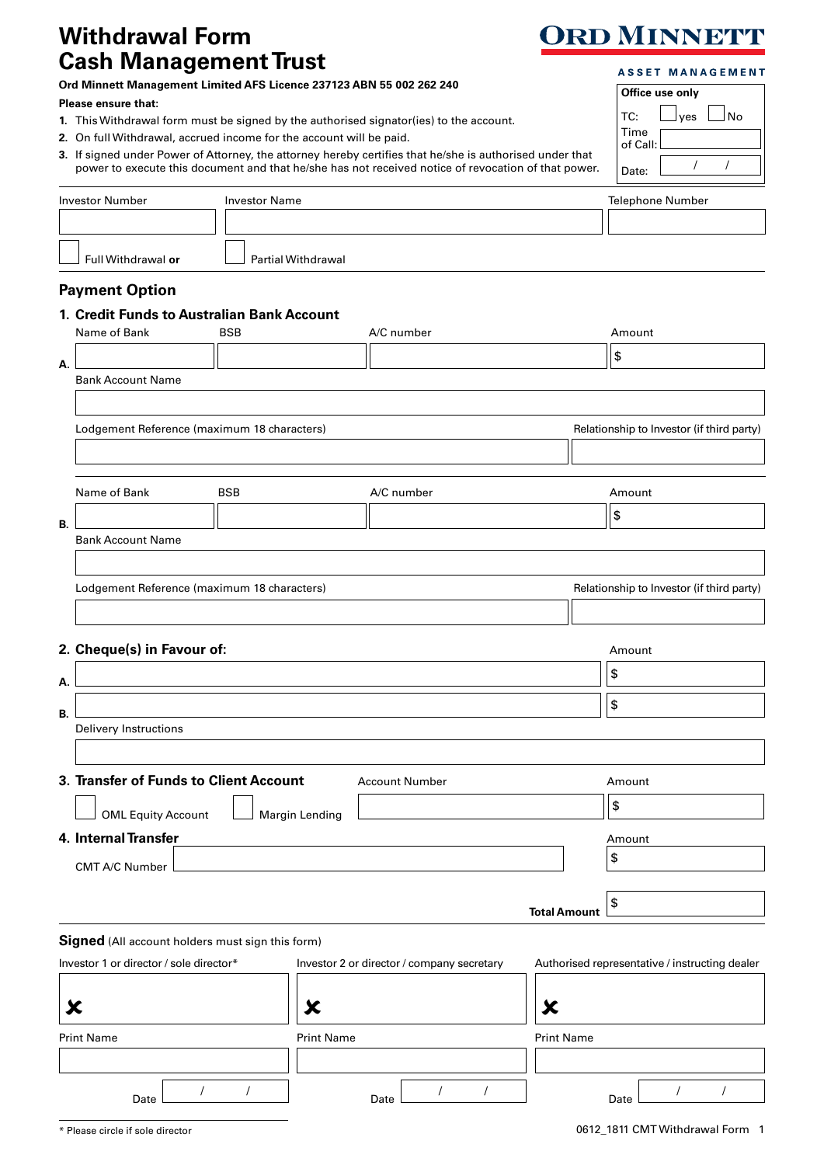## **Withdrawal Form Cash Management Trust**

## **ORD MINNETT**

| <b>Cash Management Trust</b><br>Ord Minnett Management Limited AFS Licence 237123 ABN 55 002 262 240<br>Please ensure that:<br>1. This Withdrawal form must be signed by the authorised signator(ies) to the account.<br>2. On full Withdrawal, accrued income for the account will be paid.<br>3. If signed under Power of Attorney, the attorney hereby certifies that he/she is authorised under that<br>power to execute this document and that he/she has not received notice of revocation of that power.<br><b>Investor Number</b><br><b>Investor Name</b><br>Full Withdrawal or<br><b>Partial Withdrawal</b><br><b>Payment Option</b> |                                                                 |            |                   |                   |                     | <b>ASSET MANAGEMENT</b><br>Office use only<br>TC:<br>J No<br>yes<br>Time<br>of Call:<br>Date:<br><b>Telephone Number</b> |                                                |
|-----------------------------------------------------------------------------------------------------------------------------------------------------------------------------------------------------------------------------------------------------------------------------------------------------------------------------------------------------------------------------------------------------------------------------------------------------------------------------------------------------------------------------------------------------------------------------------------------------------------------------------------------|-----------------------------------------------------------------|------------|-------------------|-------------------|---------------------|--------------------------------------------------------------------------------------------------------------------------|------------------------------------------------|
|                                                                                                                                                                                                                                                                                                                                                                                                                                                                                                                                                                                                                                               | 1. Credit Funds to Australian Bank Account<br>Name of Bank      | <b>BSB</b> |                   | A/C number        |                     |                                                                                                                          | Amount                                         |
|                                                                                                                                                                                                                                                                                                                                                                                                                                                                                                                                                                                                                                               |                                                                 |            |                   |                   |                     |                                                                                                                          | \$                                             |
| А.                                                                                                                                                                                                                                                                                                                                                                                                                                                                                                                                                                                                                                            | <b>Bank Account Name</b>                                        |            |                   |                   |                     |                                                                                                                          |                                                |
|                                                                                                                                                                                                                                                                                                                                                                                                                                                                                                                                                                                                                                               |                                                                 |            |                   |                   |                     |                                                                                                                          |                                                |
|                                                                                                                                                                                                                                                                                                                                                                                                                                                                                                                                                                                                                                               | Lodgement Reference (maximum 18 characters)                     |            |                   |                   |                     | Relationship to Investor (if third party)                                                                                |                                                |
|                                                                                                                                                                                                                                                                                                                                                                                                                                                                                                                                                                                                                                               |                                                                 |            |                   |                   |                     |                                                                                                                          |                                                |
|                                                                                                                                                                                                                                                                                                                                                                                                                                                                                                                                                                                                                                               |                                                                 |            |                   |                   |                     |                                                                                                                          |                                                |
|                                                                                                                                                                                                                                                                                                                                                                                                                                                                                                                                                                                                                                               | Name of Bank                                                    | <b>BSB</b> |                   | A/C number        |                     |                                                                                                                          | Amount                                         |
| В.                                                                                                                                                                                                                                                                                                                                                                                                                                                                                                                                                                                                                                            |                                                                 |            |                   |                   |                     |                                                                                                                          | \$                                             |
|                                                                                                                                                                                                                                                                                                                                                                                                                                                                                                                                                                                                                                               | <b>Bank Account Name</b>                                        |            |                   |                   |                     |                                                                                                                          |                                                |
|                                                                                                                                                                                                                                                                                                                                                                                                                                                                                                                                                                                                                                               |                                                                 |            |                   |                   |                     |                                                                                                                          |                                                |
|                                                                                                                                                                                                                                                                                                                                                                                                                                                                                                                                                                                                                                               | Lodgement Reference (maximum 18 characters)                     |            |                   |                   |                     | Relationship to Investor (if third party)                                                                                |                                                |
|                                                                                                                                                                                                                                                                                                                                                                                                                                                                                                                                                                                                                                               |                                                                 |            |                   |                   |                     |                                                                                                                          |                                                |
|                                                                                                                                                                                                                                                                                                                                                                                                                                                                                                                                                                                                                                               | 2. Cheque(s) in Favour of:<br>Amount                            |            |                   |                   |                     |                                                                                                                          |                                                |
| А.                                                                                                                                                                                                                                                                                                                                                                                                                                                                                                                                                                                                                                            |                                                                 |            |                   |                   |                     |                                                                                                                          | \$                                             |
|                                                                                                                                                                                                                                                                                                                                                                                                                                                                                                                                                                                                                                               |                                                                 |            |                   |                   |                     |                                                                                                                          | \$                                             |
| В.                                                                                                                                                                                                                                                                                                                                                                                                                                                                                                                                                                                                                                            | Delivery Instructions                                           |            |                   |                   |                     |                                                                                                                          |                                                |
|                                                                                                                                                                                                                                                                                                                                                                                                                                                                                                                                                                                                                                               |                                                                 |            |                   |                   |                     |                                                                                                                          |                                                |
|                                                                                                                                                                                                                                                                                                                                                                                                                                                                                                                                                                                                                                               | 3. Transfer of Funds to Client Account<br><b>Account Number</b> |            |                   |                   |                     | Amount                                                                                                                   |                                                |
|                                                                                                                                                                                                                                                                                                                                                                                                                                                                                                                                                                                                                                               |                                                                 |            |                   |                   |                     |                                                                                                                          | \$                                             |
|                                                                                                                                                                                                                                                                                                                                                                                                                                                                                                                                                                                                                                               | <b>OML Equity Account</b><br>Margin Lending                     |            |                   |                   |                     |                                                                                                                          |                                                |
|                                                                                                                                                                                                                                                                                                                                                                                                                                                                                                                                                                                                                                               | 4. Internal Transfer                                            |            |                   |                   |                     | Amount<br>\$                                                                                                             |                                                |
|                                                                                                                                                                                                                                                                                                                                                                                                                                                                                                                                                                                                                                               | CMT A/C Number                                                  |            |                   |                   |                     |                                                                                                                          |                                                |
|                                                                                                                                                                                                                                                                                                                                                                                                                                                                                                                                                                                                                                               |                                                                 |            |                   |                   |                     |                                                                                                                          | \$                                             |
|                                                                                                                                                                                                                                                                                                                                                                                                                                                                                                                                                                                                                                               |                                                                 |            |                   |                   | <b>Total Amount</b> |                                                                                                                          |                                                |
|                                                                                                                                                                                                                                                                                                                                                                                                                                                                                                                                                                                                                                               | Signed (All account holders must sign this form)                |            |                   |                   |                     |                                                                                                                          |                                                |
| Investor 1 or director / sole director*<br>Investor 2 or director / company secretary                                                                                                                                                                                                                                                                                                                                                                                                                                                                                                                                                         |                                                                 |            |                   |                   |                     |                                                                                                                          | Authorised representative / instructing dealer |
| Х<br>Х                                                                                                                                                                                                                                                                                                                                                                                                                                                                                                                                                                                                                                        |                                                                 |            |                   |                   |                     |                                                                                                                          |                                                |
|                                                                                                                                                                                                                                                                                                                                                                                                                                                                                                                                                                                                                                               |                                                                 |            |                   |                   |                     |                                                                                                                          |                                                |
| <b>Print Name</b>                                                                                                                                                                                                                                                                                                                                                                                                                                                                                                                                                                                                                             |                                                                 |            | <b>Print Name</b> | <b>Print Name</b> |                     |                                                                                                                          |                                                |

Date / / Date / / Date / /